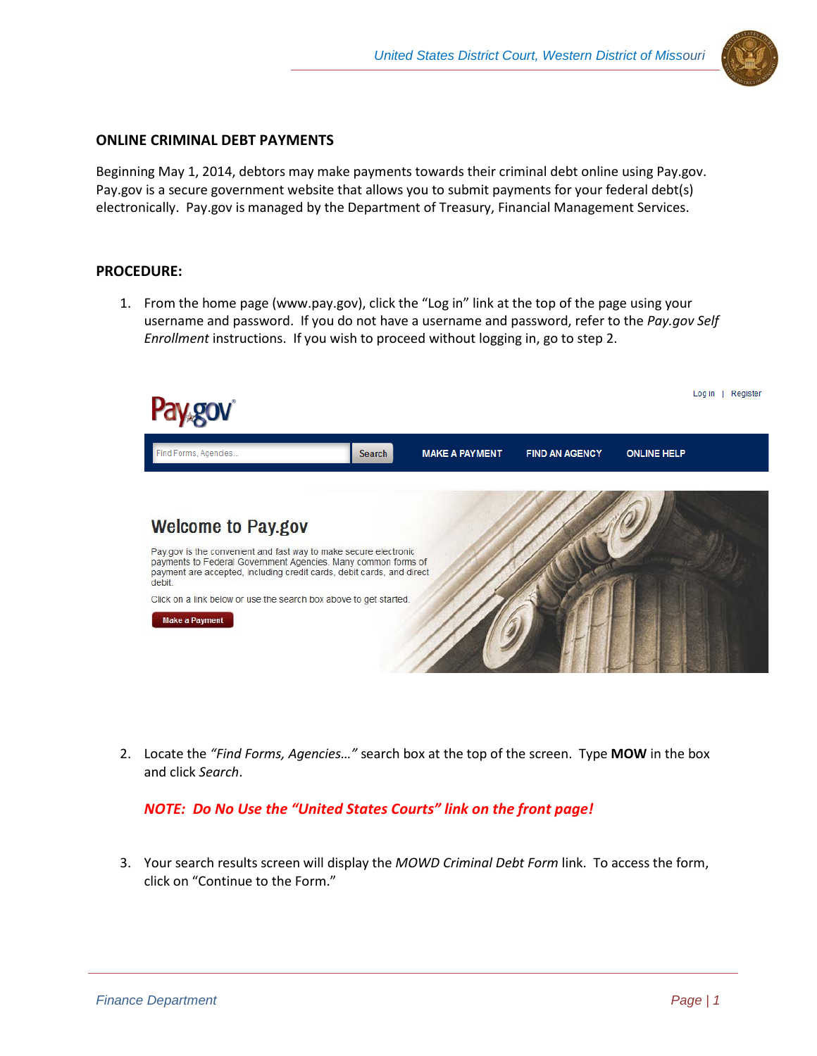

### **ONLINE CRIMINAL DEBT PAYMENTS**

Beginning May 1, 2014, debtors may make payments towards their criminal debt online using Pay.gov. Pay.gov is a secure government website that allows you to submit payments for your federal debt(s) electronically. Pay.gov is managed by the Department of Treasury, Financial Management Services.

#### **PROCEDURE:**

1. From the home page (www.pay.gov), click the "Log in" link at the top of the page using your username and password. If you do not have a username and password, refer to the *Pay.gov Self Enrollment* instructions. If you wish to proceed without logging in, go to step 2.

| <b>POV</b>                                                                                                                                                                                                                                                                                                                                      |                                        |                       | Register<br>Log in |
|-------------------------------------------------------------------------------------------------------------------------------------------------------------------------------------------------------------------------------------------------------------------------------------------------------------------------------------------------|----------------------------------------|-----------------------|--------------------|
| Find Forms, Agencies                                                                                                                                                                                                                                                                                                                            | <b>MAKE A PAYMENT</b><br><b>Search</b> | <b>FIND AN AGENCY</b> | <b>ONLINE HELP</b> |
| <b>Welcome to Pay.gov</b><br>Pay.gov is the convenient and fast way to make secure electronic<br>payments to Federal Government Agencies. Many common forms of<br>payment are accepted, including credit cards, debit cards, and direct<br>debit.<br>Click on a link below or use the search box above to get started.<br><b>Make a Payment</b> |                                        |                       |                    |

2. Locate the *"Find Forms, Agencies…"* search box at the top of the screen. Type **MOW** in the box and click *Search*.

## *NOTE: Do No Use the "United States Courts" link on the front page!*

3. Your search results screen will display the *MOWD Criminal Debt Form* link. To access the form, click on "Continue to the Form."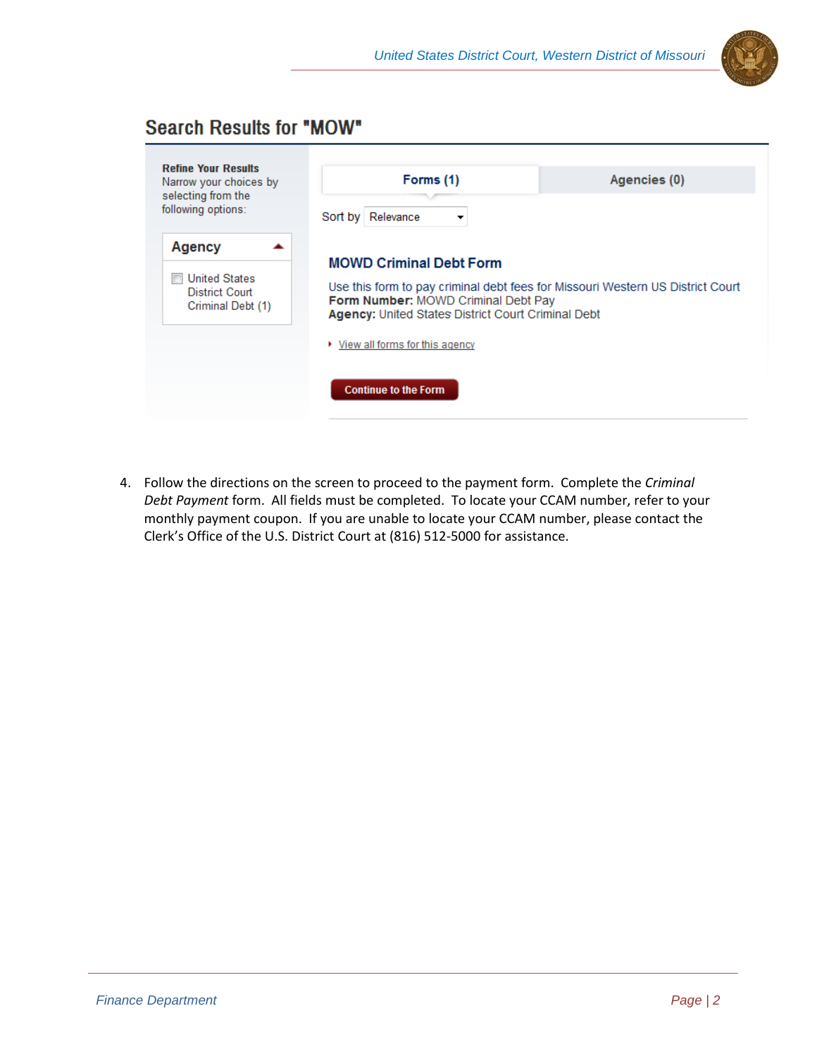

# **Search Results for "MOW"**

| <b>Refine Your Results</b><br>Narrow your choices by<br>selecting from the | Forms (1)                                                                                                                                                                   | Agencies (0) |  |  |
|----------------------------------------------------------------------------|-----------------------------------------------------------------------------------------------------------------------------------------------------------------------------|--------------|--|--|
| following options:                                                         | Sort by Relevance                                                                                                                                                           |              |  |  |
| <b>Agency</b>                                                              | <b>MOWD Criminal Debt Form</b>                                                                                                                                              |              |  |  |
| <b>United States</b><br>District Court<br>Criminal Debt (1)                | Use this form to pay criminal debt fees for Missouri Western US District Court<br>Form Number: MOWD Criminal Debt Pay<br>Agency: United States District Court Criminal Debt |              |  |  |
|                                                                            | ▶ View all forms for this agency                                                                                                                                            |              |  |  |
|                                                                            | <b>Continue to the Form</b>                                                                                                                                                 |              |  |  |

4. Follow the directions on the screen to proceed to the payment form. Complete the *Criminal Debt Payment* form. All fields must be completed. To locate your CCAM number, refer to your monthly payment coupon. If you are unable to locate your CCAM number, please contact the Clerk's Office of the U.S. District Court at (816) 512-5000 for assistance.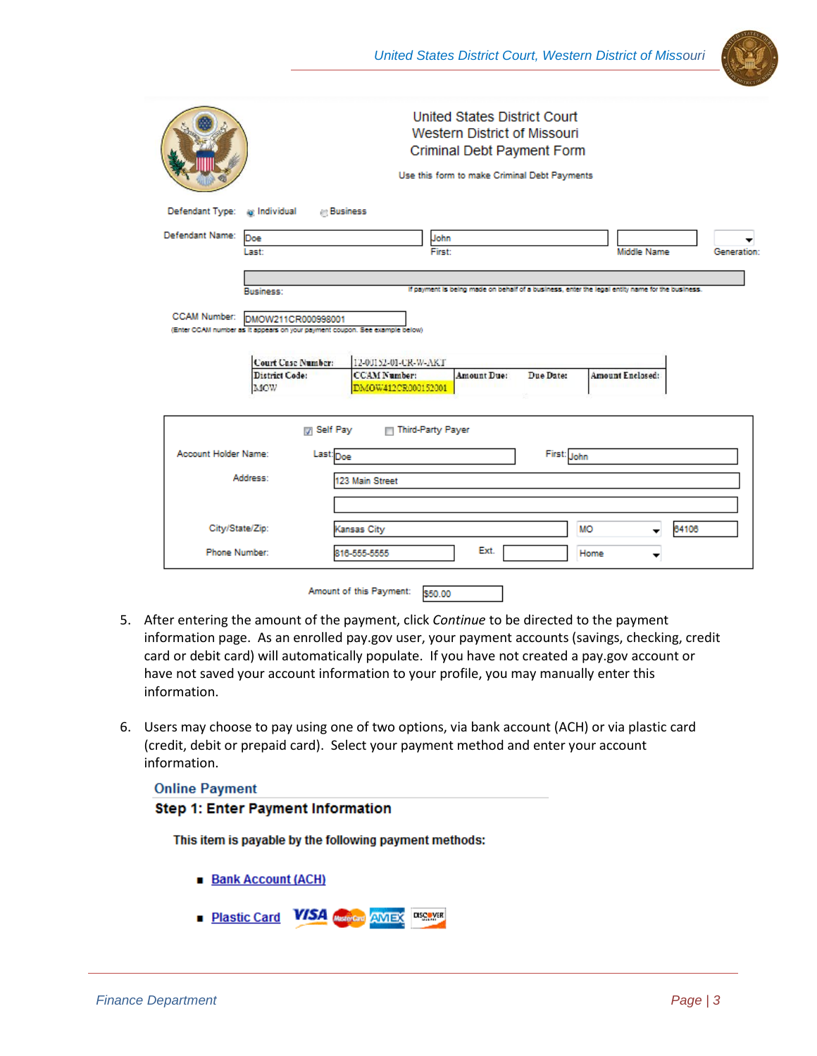

|                              |                                                                                                   |                                                                   | United States District Court<br><b>Western District of Missouri</b><br>Criminal Debt Payment Form<br>Use this form to make Criminal Debt Payments |             |                                                                                                 |             |
|------------------------------|---------------------------------------------------------------------------------------------------|-------------------------------------------------------------------|---------------------------------------------------------------------------------------------------------------------------------------------------|-------------|-------------------------------------------------------------------------------------------------|-------------|
| Defendant Type: a Individual |                                                                                                   | <b><i>a</i>n Business</b>                                         |                                                                                                                                                   |             |                                                                                                 |             |
| Defendant Name:              | Doe<br>Last:                                                                                      |                                                                   | John<br>First:                                                                                                                                    |             | Middle Name                                                                                     | Generation: |
|                              | Business:                                                                                         |                                                                   |                                                                                                                                                   |             | if payment is being made on behalf of a business, enter the legal entity name for the business. |             |
|                              |                                                                                                   |                                                                   |                                                                                                                                                   |             |                                                                                                 |             |
| <b>CCAM Number:</b>          | DMOW211CR000998001<br>(Enter CCAM number as it appears on your payment coupon. See example below) |                                                                   |                                                                                                                                                   |             |                                                                                                 |             |
|                              | Court Case Number:<br><b>District Code:</b><br>MOW                                                | 12-00152-01-CR-W-AKT<br><b>CCAM Number:</b><br>DMOW412CR000152001 | <b>Amount Due:</b>                                                                                                                                | Due Date:   | <b>Amount Enclosed:</b>                                                                         |             |
|                              | i7 Self Pay                                                                                       | Third-Party Payer                                                 |                                                                                                                                                   |             |                                                                                                 |             |
| Account Holder Name:         | Last: Doe                                                                                         |                                                                   |                                                                                                                                                   | First: John |                                                                                                 |             |
|                              | Address:                                                                                          | 123 Main Street                                                   |                                                                                                                                                   |             |                                                                                                 |             |
|                              |                                                                                                   |                                                                   |                                                                                                                                                   |             |                                                                                                 |             |
|                              | City/State/Zip:                                                                                   | Kansas City                                                       |                                                                                                                                                   |             | MO<br>٠                                                                                         | 64106       |

- 5. After entering the amount of the payment, click *Continue* to be directed to the payment information page. As an enrolled pay.gov user, your payment accounts (savings, checking, credit card or debit card) will automatically populate. If you have not created a pay.gov account or have not saved your account information to your profile, you may manually enter this information.
- 6. Users may choose to pay using one of two options, via bank account (ACH) or via plastic card (credit, debit or prepaid card). Select your payment method and enter your account information.

| <b>Online Payment</b>                                  |  |
|--------------------------------------------------------|--|
| <b>Step 1: Enter Payment Information</b>               |  |
| This item is payable by the following payment methods: |  |

- **Bank Account (ACH)**
- **Plastic Card VISA DISCOVER** AMEX